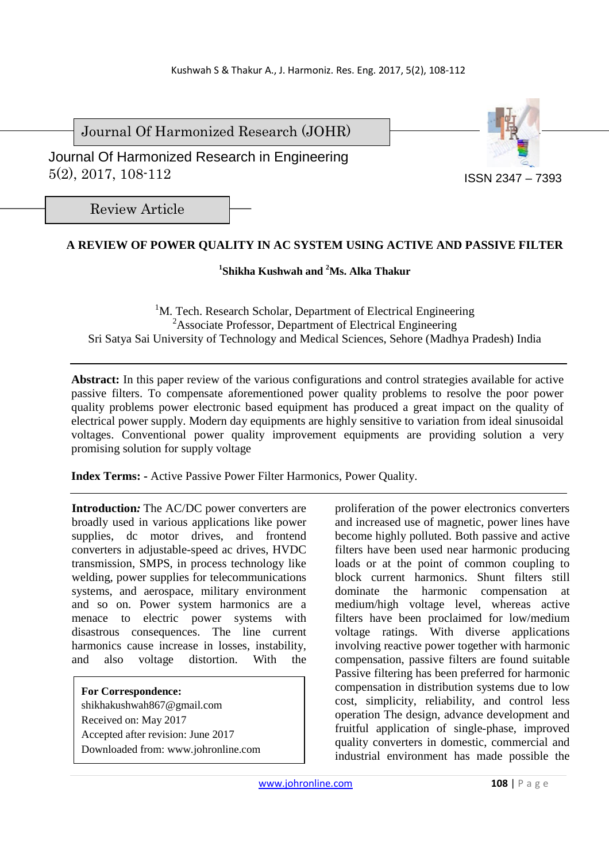Journal Of Harmonized Research (JOHR)

 Journal Of Harmonized Research in Engineering 5(2), 2017, 108-112



Review Article

# **A REVIEW OF POWER QUALITY IN AC SYSTEM USING ACTIVE AND PASSIVE FILTER**

# **1 Shikha Kushwah and <sup>2</sup>Ms. Alka Thakur**

<sup>1</sup>M. Tech. Research Scholar, Department of Electrical Engineering <sup>2</sup>Associate Professor, Department of Electrical Engineering Sri Satya Sai University of Technology and Medical Sciences, Sehore (Madhya Pradesh) India

**Abstract:** In this paper review of the various configurations and control strategies available for active passive filters. To compensate aforementioned power quality problems to resolve the poor power quality problems power electronic based equipment has produced a great impact on the quality of electrical power supply. Modern day equipments are highly sensitive to variation from ideal sinusoidal voltages. Conventional power quality improvement equipments are providing solution a very promising solution for supply voltage

**Index Terms: -** Active Passive Power Filter Harmonics, Power Quality.

**Introduction***:* The AC/DC power converters are broadly used in various applications like power supplies, dc motor drives, and frontend converters in adjustable-speed ac drives, HVDC transmission, SMPS, in process technology like welding, power supplies for telecommunications systems, and aerospace, military environment and so on. Power system harmonics are a menace to electric power systems with disastrous consequences. The line current harmonics cause increase in losses, instability, and also voltage distortion. With the

**For Correspondence:**  shikhakushwah867@gmail.com Received on: May 2017 Accepted after revision: June 2017 Downloaded from: www.johronline.com proliferation of the power electronics converters and increased use of magnetic, power lines have become highly polluted. Both passive and active filters have been used near harmonic producing loads or at the point of common coupling to block current harmonics. Shunt filters still dominate the harmonic compensation at medium/high voltage level, whereas active filters have been proclaimed for low/medium voltage ratings. With diverse applications involving reactive power together with harmonic compensation, passive filters are found suitable Passive filtering has been preferred for harmonic compensation in distribution systems due to low cost, simplicity, reliability, and control less operation The design, advance development and fruitful application of single-phase, improved quality converters in domestic, commercial and industrial environment has made possible the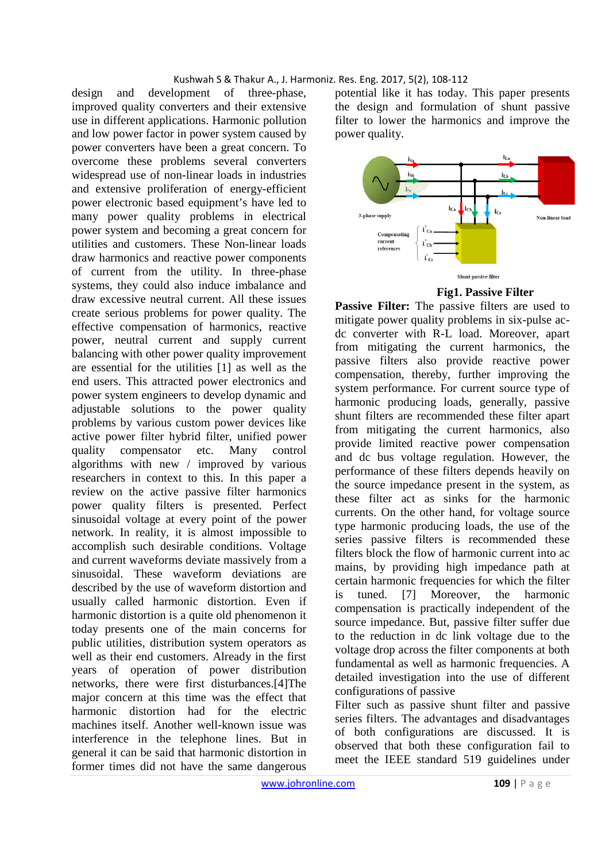design and development of three-phase, improved quality converters and their extensive use in different applications. Harmonic pollution and low power factor in power system caused by power converters have been a great concern. To overcome these problems several converters widespread use of non-linear loads in industries and extensive proliferation of energy-efficient power electronic based equipment's have led to many power quality problems in electrical power system and becoming a great concern for utilities and customers. These Non-linear loads draw harmonics and reactive power components of current from the utility. In three-phase systems, they could also induce imbalance and draw excessive neutral current. All these issues create serious problems for power quality. The effective compensation of harmonics, reactive power, neutral current and supply current balancing with other power quality improvement are essential for the utilities [1] as well as the end users. This attracted power electronics and power system engineers to develop dynamic and adjustable solutions to the power quality problems by various custom power devices like active power filter hybrid filter, unified power quality compensator etc. Many control algorithms with new / improved by various researchers in context to this. In this paper a review on the active passive filter harmonics power quality filters is presented. Perfect sinusoidal voltage at every point of the power network. In reality, it is almost impossible to accomplish such desirable conditions. Voltage and current waveforms deviate massively from a sinusoidal. These waveform deviations are described by the use of waveform distortion and usually called harmonic distortion. Even if harmonic distortion is a quite old phenomenon it today presents one of the main concerns for public utilities, distribution system operators as well as their end customers. Already in the first years of operation of power distribution networks, there were first disturbances.[4]The major concern at this time was the effect that harmonic distortion had for the electric machines itself. Another well-known issue was interference in the telephone lines. But in general it can be said that harmonic distortion in former times did not have the same dangerous potential like it has today. This paper presents the design and formulation of shunt passive filter to lower the harmonics and improve the power quality.



# **Fig1. Passive Filter**

**Passive Filter:** The passive filters are used to mitigate power quality problems in six-pulse acdc converter with R-L load. Moreover, apart from mitigating the current harmonics, the passive filters also provide reactive power compensation, thereby, further improving the system performance. For current source type of harmonic producing loads, generally, passive shunt filters are recommended these filter apart from mitigating the current harmonics, also provide limited reactive power compensation and dc bus voltage regulation. However, the performance of these filters depends heavily on the source impedance present in the system, as these filter act as sinks for the harmonic currents. On the other hand, for voltage source type harmonic producing loads, the use of the series passive filters is recommended these filters block the flow of harmonic current into ac mains, by providing high impedance path at certain harmonic frequencies for which the filter is tuned. [7] Moreover, the harmonic compensation is practically independent of the source impedance. But, passive filter suffer due to the reduction in dc link voltage due to the voltage drop across the filter components at both fundamental as well as harmonic frequencies. A detailed investigation into the use of different configurations of passive

Filter such as passive shunt filter and passive series filters. The advantages and disadvantages of both configurations are discussed. It is observed that both these configuration fail to meet the IEEE standard 519 guidelines under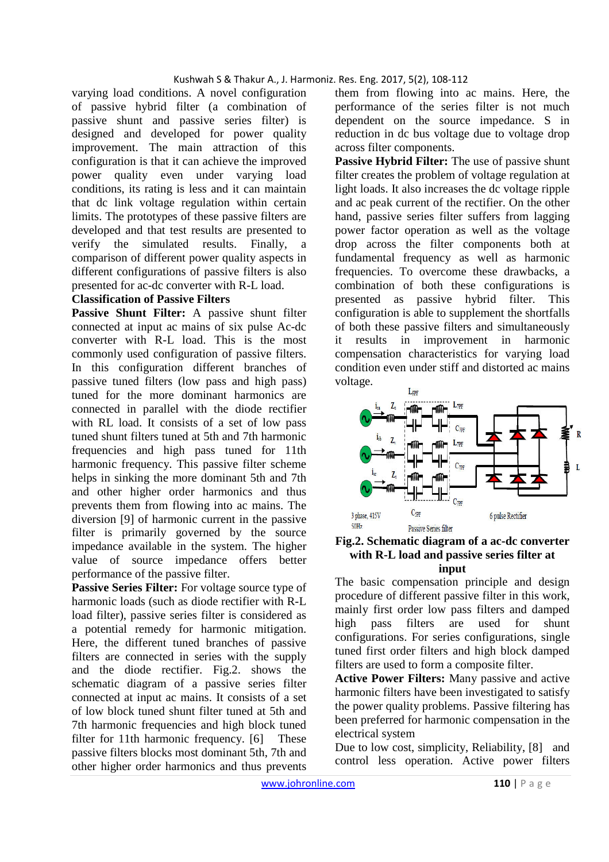varying load conditions. A novel configuration of passive hybrid filter (a combination of passive shunt and passive series filter) is designed and developed for power quality improvement. The main attraction of this configuration is that it can achieve the improved power quality even under varying load conditions, its rating is less and it can maintain that dc link voltage regulation within certain limits. The prototypes of these passive filters are developed and that test results are presented to verify the simulated results. Finally, a comparison of different power quality aspects in different configurations of passive filters is also presented for ac-dc converter with R-L load.

# **Classification of Passive Filters**

**Passive Shunt Filter:** A passive shunt filter connected at input ac mains of six pulse Ac-dc converter with R-L load. This is the most commonly used configuration of passive filters. In this configuration different branches of passive tuned filters (low pass and high pass) tuned for the more dominant harmonics are connected in parallel with the diode rectifier with RL load. It consists of a set of low pass tuned shunt filters tuned at 5th and 7th harmonic frequencies and high pass tuned for 11th harmonic frequency. This passive filter scheme helps in sinking the more dominant 5th and 7th and other higher order harmonics and thus prevents them from flowing into ac mains. The diversion [9] of harmonic current in the passive filter is primarily governed by the source impedance available in the system. The higher value of source impedance offers better performance of the passive filter.

Passive Series Filter: For voltage source type of harmonic loads (such as diode rectifier with R-L load filter), passive series filter is considered as a potential remedy for harmonic mitigation. Here, the different tuned branches of passive filters are connected in series with the supply and the diode rectifier. Fig.2. shows the schematic diagram of a passive series filter connected at input ac mains. It consists of a set of low block tuned shunt filter tuned at 5th and 7th harmonic frequencies and high block tuned filter for 11th harmonic frequency. [6] These passive filters blocks most dominant 5th, 7th and other higher order harmonics and thus prevents them from flowing into ac mains. Here, the performance of the series filter is not much dependent on the source impedance. S in reduction in dc bus voltage due to voltage drop across filter components.

Passive Hybrid Filter: The use of passive shunt filter creates the problem of voltage regulation at light loads. It also increases the dc voltage ripple and ac peak current of the rectifier. On the other hand, passive series filter suffers from lagging power factor operation as well as the voltage drop across the filter components both at fundamental frequency as well as harmonic frequencies. To overcome these drawbacks, a combination of both these configurations is presented as passive hybrid filter. This configuration is able to supplement the shortfalls of both these passive filters and simultaneously it results in improvement in harmonic compensation characteristics for varying load condition even under stiff and distorted ac mains voltage.



#### **Fig.2. Schematic diagram of a ac-dc converter with R-L load and passive series filter at input**

The basic compensation principle and design procedure of different passive filter in this work, mainly first order low pass filters and damped high pass filters are used for shunt configurations. For series configurations, single tuned first order filters and high block damped filters are used to form a composite filter.

**Active Power Filters:** Many passive and active harmonic filters have been investigated to satisfy the power quality problems. Passive filtering has been preferred for harmonic compensation in the electrical system

Due to low cost, simplicity, Reliability, [8] and control less operation. Active power filters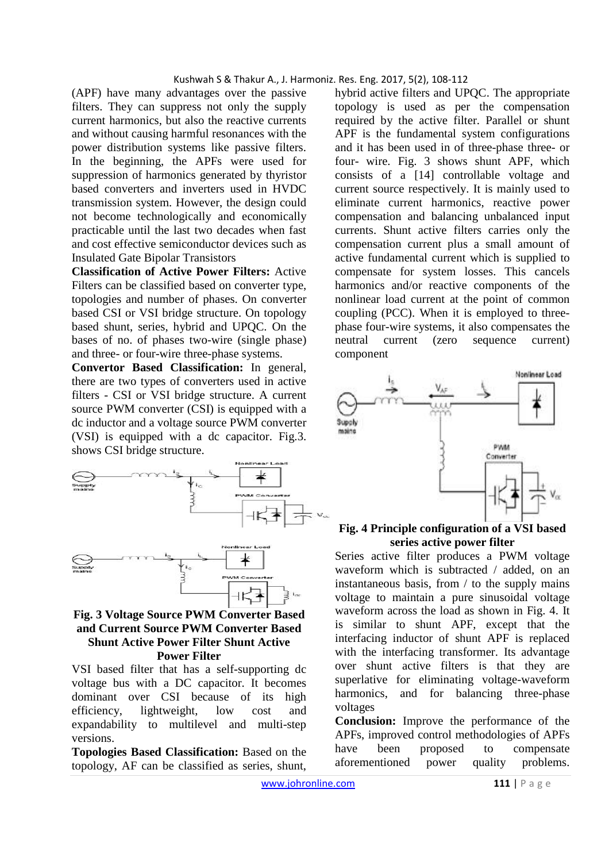(APF) have many advantages over the passive filters. They can suppress not only the supply current harmonics, but also the reactive currents and without causing harmful resonances with the power distribution systems like passive filters. In the beginning, the APFs were used for suppression of harmonics generated by thyristor based converters and inverters used in HVDC transmission system. However, the design could not become technologically and economically practicable until the last two decades when fast and cost effective semiconductor devices such as Insulated Gate Bipolar Transistors

**Classification of Active Power Filters:** Active Filters can be classified based on converter type, topologies and number of phases. On converter based CSI or VSI bridge structure. On topology based shunt, series, hybrid and UPQC. On the bases of no. of phases two-wire (single phase) and three- or four-wire three-phase systems.

**Convertor Based Classification:** In general, there are two types of converters used in active filters - CSI or VSI bridge structure. A current source PWM converter (CSI) is equipped with a dc inductor and a voltage source PWM converter (VSI) is equipped with a dc capacitor. Fig.3. shows CSI bridge structure.



### **Fig. 3 Voltage Source PWM Converter Based and Current Source PWM Converter Based Shunt Active Power Filter Shunt Active Power Filter**

VSI based filter that has a self-supporting dc voltage bus with a DC capacitor. It becomes dominant over CSI because of its high efficiency, lightweight, low cost and expandability to multilevel and multi-step versions.

**Topologies Based Classification:** Based on the topology, AF can be classified as series, shunt, hybrid active filters and UPQC. The appropriate topology is used as per the compensation required by the active filter. Parallel or shunt APF is the fundamental system configurations and it has been used in of three-phase three- or four- wire. Fig. 3 shows shunt APF, which consists of a [14] controllable voltage and current source respectively. It is mainly used to eliminate current harmonics, reactive power compensation and balancing unbalanced input currents. Shunt active filters carries only the compensation current plus a small amount of active fundamental current which is supplied to compensate for system losses. This cancels harmonics and/or reactive components of the nonlinear load current at the point of common coupling (PCC). When it is employed to threephase four-wire systems, it also compensates the neutral current (zero sequence current) component



### **Fig. 4 Principle configuration of a VSI based series active power filter**

Series active filter produces a PWM voltage waveform which is subtracted / added, on an instantaneous basis, from / to the supply mains voltage to maintain a pure sinusoidal voltage waveform across the load as shown in Fig. 4. It is similar to shunt APF, except that the interfacing inductor of shunt APF is replaced with the interfacing transformer. Its advantage over shunt active filters is that they are superlative for eliminating voltage-waveform harmonics, and for balancing three-phase voltages

**Conclusion:** Improve the performance of the APFs, improved control methodologies of APFs have been proposed to compensate aforementioned power quality problems.